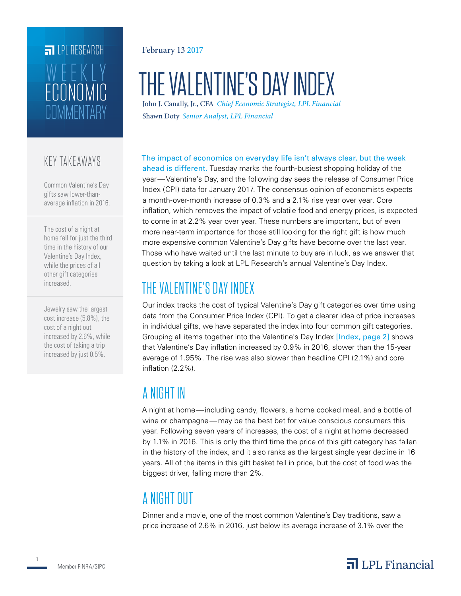# **FILLE** LPL RESEARCH **COMMENTARY** ECONOMIC WEEKL

### KEY TAKEAWAYS

Common Valentine's Day gifts saw lower-thanaverage inflation in 2016.

The cost of a night at home fell for just the third time in the history of our Valentine's Day Index, while the prices of all other gift categories increased.

Jewelry saw the largest cost increase (5.8%), the cost of a night out increased by 2.6%, while the cost of taking a trip increased by just 0.5%.

#### February 13 2017

# THE VALENTINE'S DAY INDEX

John J. Canally, Jr., CFA *Chief Economic Strategist, LPL Financial* Shawn Doty *Senior Analyst, LPL Financial*

The impact of economics on everyday life isn't always clear, but the week

ahead is different. Tuesday marks the fourth-busiest shopping holiday of the year—Valentine's Day, and the following day sees the release of Consumer Price Index (CPI) data for January 2017. The consensus opinion of economists expects a month-over-month increase of 0.3% and a 2.1% rise year over year. Core inflation, which removes the impact of volatile food and energy prices, is expected to come in at 2.2% year over year. These numbers are important, but of even more near-term importance for those still looking for the right gift is how much more expensive common Valentine's Day gifts have become over the last year. Those who have waited until the last minute to buy are in luck, as we answer that question by taking a look at LPL Research's annual Valentine's Day Index.

# THE VALENTINE'S DAY INDEX

Our index tracks the cost of typical Valentine's Day gift categories over time using data from the Consumer Price Index (CPI). To get a clearer idea of price increases in individual gifts, we have separated the index into four common gift categories. Grouping all items together into the Valentine's Day Index [Index, page 2] shows that Valentine's Day inflation increased by 0.9% in 2016, slower than the 15-year average of 1.95%. The rise was also slower than headline CPI (2.1%) and core inflation (2.2%).

# A NIGHT IN

A night at home—including candy, flowers, a home cooked meal, and a bottle of wine or champagne—may be the best bet for value conscious consumers this year. Following seven years of increases, the cost of a night at home decreased by 1.1% in 2016. This is only the third time the price of this gift category has fallen in the history of the index, and it also ranks as the largest single year decline in 16 years. All of the items in this gift basket fell in price, but the cost of food was the biggest driver, falling more than 2%.

# A NIGHT OUT

Dinner and a movie, one of the most common Valentine's Day traditions, saw a price increase of 2.6% in 2016, just below its average increase of 3.1% over the

1

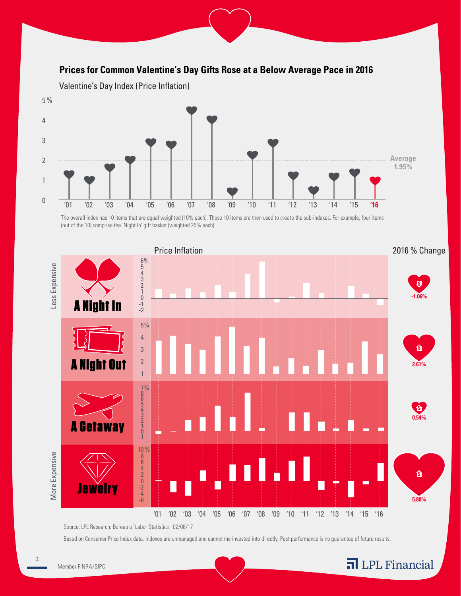### **Prices for Common Valentine's Day Gifts Rose at a Below Average Pace in 2016**



The overall index has 10 items that are equal weighted (10% each). Those 10 items are then used to create the sub-indexes. For example, four items (out of the 10) comprise the 'Night In' gift basket (weighted 25% each).



Source: LPL Research, Bureau of Labor Statistics 02/08/17

Based on Consumer Price Index data. Indexes are unmanaged and cannot me invested into directly. Past performance is no guarantee of future results.

Financial

 $\mathfrak{D}$